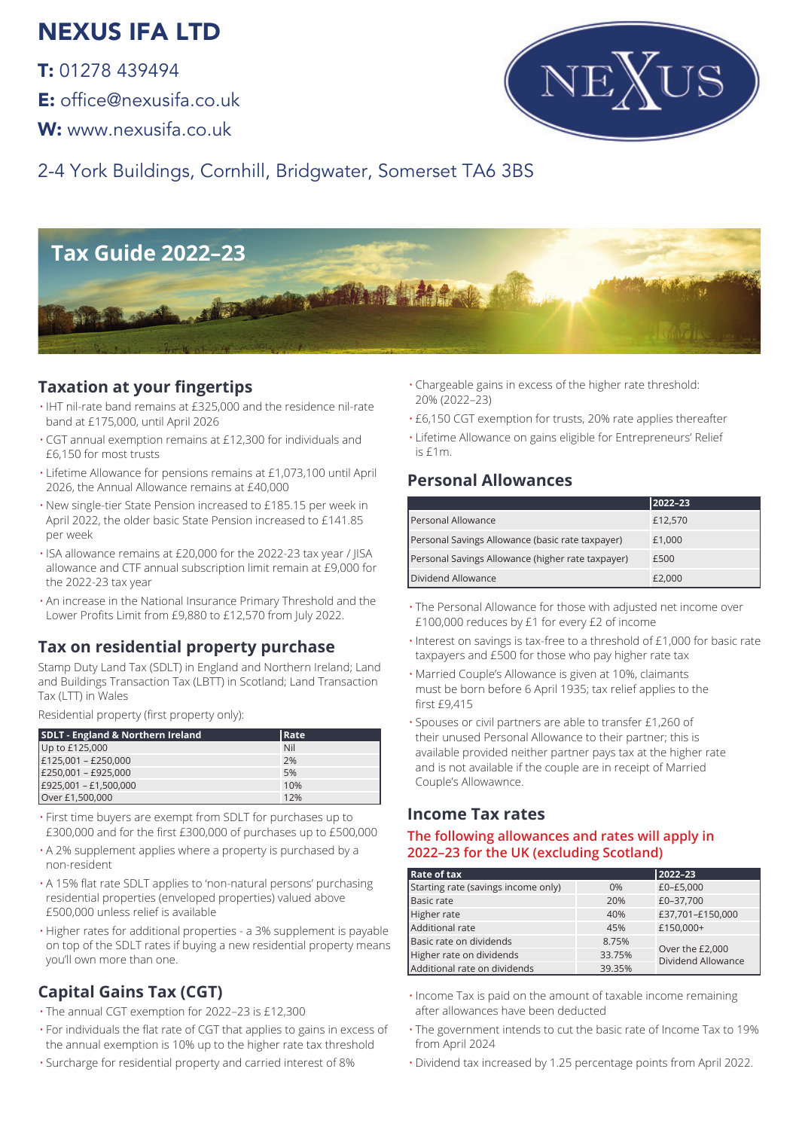# NEXUS IFA LTD

T: 01278 439494

E: office@nexusifa.co.uk

W: www.nexusifa.co.uk



2-4 York Buildings, Cornhill, Bridgwater, Somerset TA6 3BS



## **Taxation at your fingertips**

- IHT nil-rate band remains at £325,000 and the residence nil-rate band at £175,000, until April 2026
- CGT annual exemption remains at £12,300 for individuals and £6,150 for most trusts
- Lifetime Allowance for pensions remains at £1,073,100 until April 2026, the Annual Allowance remains at £40,000
- New single-tier State Pension increased to £185.15 per week in April 2022, the older basic State Pension increased to £141.85 per week
- ISA allowance remains at £20,000 for the 2022-23 tax year / JISA allowance and CTF annual subscription limit remain at £9,000 for the 2022-23 tax year
- An increase in the National Insurance Primary Threshold and the Lower Profits Limit from £9,880 to £12,570 from July 2022.

### **Tax on residential property purchase**

Stamp Duty Land Tax (SDLT) in England and Northern Ireland; Land and Buildings Transaction Tax (LBTT) in Scotland; Land Transaction Tax (LTT) in Wales

Residential property (first property only):

| <b>SDLT - England &amp; Northern Ireland</b> | <b>Rate</b> |
|----------------------------------------------|-------------|
| Up to £125,000                               | Nil         |
| $E125,001 - E250,000$                        | 2%          |
| E250,001 - £925,000                          | 5%          |
| $E925,001 - E1,500,000$                      | 10%         |
| Over £1,500,000                              | 12%         |

- First time buyers are exempt from SDLT for purchases up to £300,000 and for the first £300,000 of purchases up to £500,000
- A 2% supplement applies where a property is purchased by a non-resident
- A 15% flat rate SDLT applies to 'non-natural persons' purchasing residential properties (enveloped properties) valued above £500,000 unless relief is available
- Higher rates for additional properties a 3% supplement is payable on top of the SDLT rates if buying a new residential property means you'll own more than one.

# **Capital Gains Tax (CGT)**

- The annual CGT exemption for 2022–23 is £12,300
- For individuals the flat rate of CGT that applies to gains in excess of the annual exemption is 10% up to the higher rate tax threshold
- Surcharge for residential property and carried interest of 8%
- Chargeable gains in excess of the higher rate threshold: 20% (2022–23)
- £6,150 CGT exemption for trusts, 20% rate applies thereafter
- Lifetime Allowance on gains eligible for Entrepreneurs' Relief is £1m.

### **Personal Allowances**

|                                                   | 2022-23 |
|---------------------------------------------------|---------|
| Personal Allowance                                | £12,570 |
| Personal Savings Allowance (basic rate taxpayer)  | £1,000  |
| Personal Savings Allowance (higher rate taxpayer) | £500    |
| Dividend Allowance                                | £2,000  |

- The Personal Allowance for those with adjusted net income over £100,000 reduces by £1 for every £2 of income
- Interest on savings is tax-free to a threshold of £1,000 for basic rate taxpayers and £500 for those who pay higher rate tax
- Married Couple's Allowance is given at 10%, claimants must be born before 6 April 1935; tax relief applies to the first £9,415
- Spouses or civil partners are able to transfer £1,260 of their unused Personal Allowance to their partner; this is available provided neither partner pays tax at the higher rate and is not available if the couple are in receipt of Married Couple's Allowawnce.

### **Income Tax rates**

#### **The following allowances and rates will apply in 2022–23 for the UK (excluding Scotland)**

| <b>Rate of tax</b>                  |        | 2022-23                               |  |
|-------------------------------------|--------|---------------------------------------|--|
| Starting rate (savings income only) | 0%     | £0-£5,000                             |  |
| <b>Basic rate</b>                   | 20%    | £0-37,700                             |  |
| Higher rate                         | 40%    | £37,701-£150,000                      |  |
| Additional rate                     | 45%    | £150,000+                             |  |
| Basic rate on dividends             | 8.75%  |                                       |  |
| Higher rate on dividends            | 33.75% | Over the £2,000<br>Dividend Allowance |  |
| Additional rate on dividends        | 39.35% |                                       |  |

- Income Tax is paid on the amount of taxable income remaining after allowances have been deducted
- The government intends to cut the basic rate of Income Tax to 19% from April 2024
- Dividend tax increased by 1.25 percentage points from April 2022.